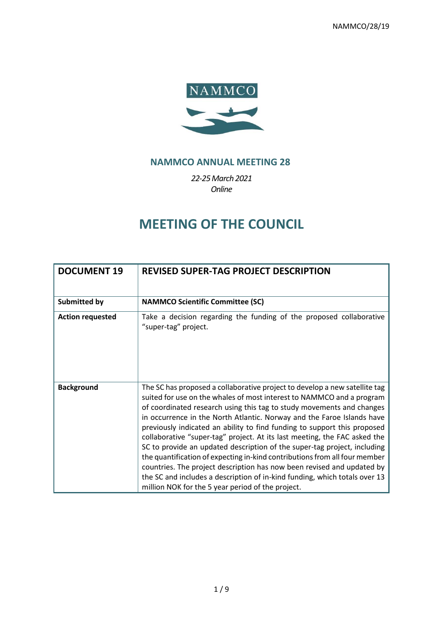

# **NAMMCO ANNUAL MEETING 28**

*22-25March 2021 Online*

# **MEETING OF THE COUNCIL**

| <b>DOCUMENT 19</b>      | <b>REVISED SUPER-TAG PROJECT DESCRIPTION</b>                                                                                                                                                                                                                                                                                                                                                                                                                                                                                                                                                                                                                                                                                                                                                                                           |  |  |  |  |
|-------------------------|----------------------------------------------------------------------------------------------------------------------------------------------------------------------------------------------------------------------------------------------------------------------------------------------------------------------------------------------------------------------------------------------------------------------------------------------------------------------------------------------------------------------------------------------------------------------------------------------------------------------------------------------------------------------------------------------------------------------------------------------------------------------------------------------------------------------------------------|--|--|--|--|
|                         |                                                                                                                                                                                                                                                                                                                                                                                                                                                                                                                                                                                                                                                                                                                                                                                                                                        |  |  |  |  |
| <b>Submitted by</b>     | <b>NAMMCO Scientific Committee (SC)</b>                                                                                                                                                                                                                                                                                                                                                                                                                                                                                                                                                                                                                                                                                                                                                                                                |  |  |  |  |
| <b>Action requested</b> | Take a decision regarding the funding of the proposed collaborative<br>"super-tag" project.                                                                                                                                                                                                                                                                                                                                                                                                                                                                                                                                                                                                                                                                                                                                            |  |  |  |  |
| <b>Background</b>       | The SC has proposed a collaborative project to develop a new satellite tag<br>suited for use on the whales of most interest to NAMMCO and a program<br>of coordinated research using this tag to study movements and changes<br>in occurrence in the North Atlantic. Norway and the Faroe Islands have<br>previously indicated an ability to find funding to support this proposed<br>collaborative "super-tag" project. At its last meeting, the FAC asked the<br>SC to provide an updated description of the super-tag project, including<br>the quantification of expecting in-kind contributions from all four member<br>countries. The project description has now been revised and updated by<br>the SC and includes a description of in-kind funding, which totals over 13<br>million NOK for the 5 year period of the project. |  |  |  |  |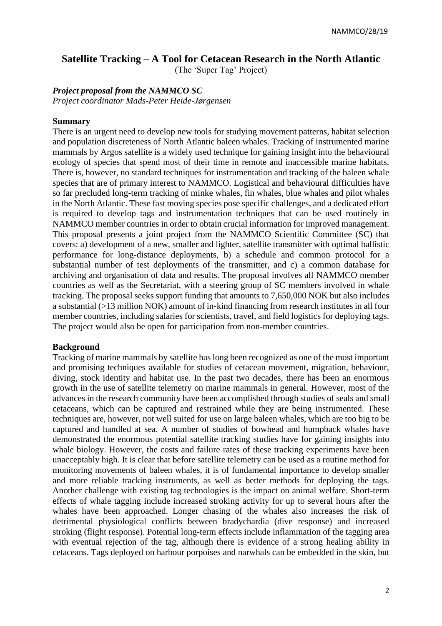# **Satellite Tracking – A Tool for Cetacean Research in the North Atlantic**

(The 'Super Tag' Project)

#### *Project proposal from the NAMMCO SC*

*Project coordinator Mads-Peter Heide-Jørgensen*

#### **Summary**

There is an urgent need to develop new tools for studying movement patterns, habitat selection and population discreteness of North Atlantic baleen whales. Tracking of instrumented marine mammals by Argos satellite is a widely used technique for gaining insight into the behavioural ecology of species that spend most of their time in remote and inaccessible marine habitats. There is, however, no standard techniques for instrumentation and tracking of the baleen whale species that are of primary interest to NAMMCO. Logistical and behavioural difficulties have so far precluded long-term tracking of minke whales, fin whales, blue whales and pilot whales in the North Atlantic. These fast moving species pose specific challenges, and a dedicated effort is required to develop tags and instrumentation techniques that can be used routinely in NAMMCO member countries in order to obtain crucial information for improved management. This proposal presents a joint project from the NAMMCO Scientific Committee (SC) that covers: a) development of a new, smaller and lighter, satellite transmitter with optimal ballistic performance for long-distance deployments, b) a schedule and common protocol for a substantial number of test deployments of the transmitter, and c) a common database for archiving and organisation of data and results. The proposal involves all NAMMCO member countries as well as the Secretariat, with a steering group of SC members involved in whale tracking. The proposal seeks support funding that amounts to 7,650,000 NOK but also includes a substantial (>13 million NOK) amount of in-kind financing from research institutes in all four member countries, including salaries for scientists, travel, and field logistics for deploying tags. The project would also be open for participation from non-member countries.

#### **Background**

Tracking of marine mammals by satellite has long been recognized as one of the most important and promising techniques available for studies of cetacean movement, migration, behaviour, diving, stock identity and habitat use. In the past two decades, there has been an enormous growth in the use of satellite telemetry on marine mammals in general. However, most of the advances in the research community have been accomplished through studies of seals and small cetaceans, which can be captured and restrained while they are being instrumented. These techniques are, however, not well suited for use on large baleen whales, which are too big to be captured and handled at sea. A number of studies of bowhead and humpback whales have demonstrated the enormous potential satellite tracking studies have for gaining insights into whale biology. However, the costs and failure rates of these tracking experiments have been unacceptably high. It is clear that before satellite telemetry can be used as a routine method for monitoring movements of baleen whales, it is of fundamental importance to develop smaller and more reliable tracking instruments, as well as better methods for deploying the tags. Another challenge with existing tag technologies is the impact on animal welfare. Short-term effects of whale tagging include increased stroking activity for up to several hours after the whales have been approached. Longer chasing of the whales also increases the risk of detrimental physiological conflicts between bradychardia (dive response) and increased stroking (flight response). Potential long-term effects include inflammation of the tagging area with eventual rejection of the tag, although there is evidence of a strong healing ability in cetaceans. Tags deployed on harbour porpoises and narwhals can be embedded in the skin, but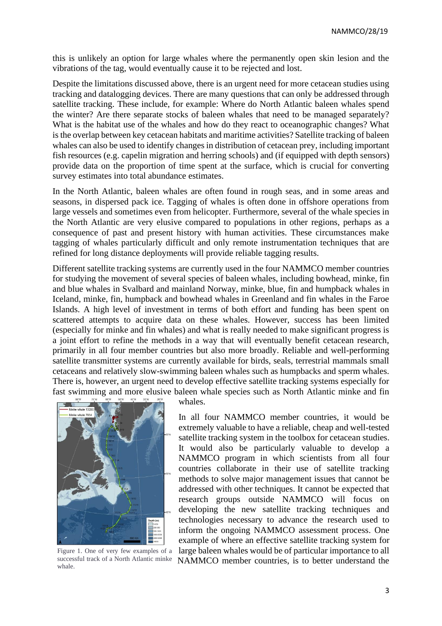this is unlikely an option for large whales where the permanently open skin lesion and the vibrations of the tag, would eventually cause it to be rejected and lost.

Despite the limitations discussed above, there is an urgent need for more cetacean studies using tracking and datalogging devices. There are many questions that can only be addressed through satellite tracking. These include, for example: Where do North Atlantic baleen whales spend the winter? Are there separate stocks of baleen whales that need to be managed separately? What is the habitat use of the whales and how do they react to oceanographic changes? What is the overlap between key cetacean habitats and maritime activities? Satellite tracking of baleen whales can also be used to identify changes in distribution of cetacean prey, including important fish resources (e.g. capelin migration and herring schools) and (if equipped with depth sensors) provide data on the proportion of time spent at the surface, which is crucial for converting survey estimates into total abundance estimates.

In the North Atlantic, baleen whales are often found in rough seas, and in some areas and seasons, in dispersed pack ice. Tagging of whales is often done in offshore operations from large vessels and sometimes even from helicopter. Furthermore, several of the whale species in the North Atlantic are very elusive compared to populations in other regions, perhaps as a consequence of past and present history with human activities. These circumstances make tagging of whales particularly difficult and only remote instrumentation techniques that are refined for long distance deployments will provide reliable tagging results.

Different satellite tracking systems are currently used in the four NAMMCO member countries for studying the movement of several species of baleen whales, including bowhead, minke, fin and blue whales in Svalbard and mainland Norway, minke, blue, fin and humpback whales in Iceland, minke, fin, humpback and bowhead whales in Greenland and fin whales in the Faroe Islands. A high level of investment in terms of both effort and funding has been spent on scattered attempts to acquire data on these whales. However, success has been limited (especially for minke and fin whales) and what is really needed to make significant progress is a joint effort to refine the methods in a way that will eventually benefit cetacean research, primarily in all four member countries but also more broadly. Reliable and well-performing satellite transmitter systems are currently available for birds, seals, terrestrial mammals small cetaceans and relatively slow-swimming baleen whales such as humpbacks and sperm whales. There is, however, an urgent need to develop effective satellite tracking systems especially for fast swimming and more elusive baleen whale species such as North Atlantic minke and fin



Figure 1. One of very few examples of a successful track of a North Atlantic minke whale.

whales.

In all four NAMMCO member countries, it would be extremely valuable to have a reliable, cheap and well-tested satellite tracking system in the toolbox for cetacean studies. It would also be particularly valuable to develop a NAMMCO program in which scientists from all four countries collaborate in their use of satellite tracking methods to solve major management issues that cannot be addressed with other techniques. It cannot be expected that research groups outside NAMMCO will focus on developing the new satellite tracking techniques and technologies necessary to advance the research used to inform the ongoing NAMMCO assessment process. One example of where an effective satellite tracking system for large baleen whales would be of particular importance to all NAMMCO member countries, is to better understand the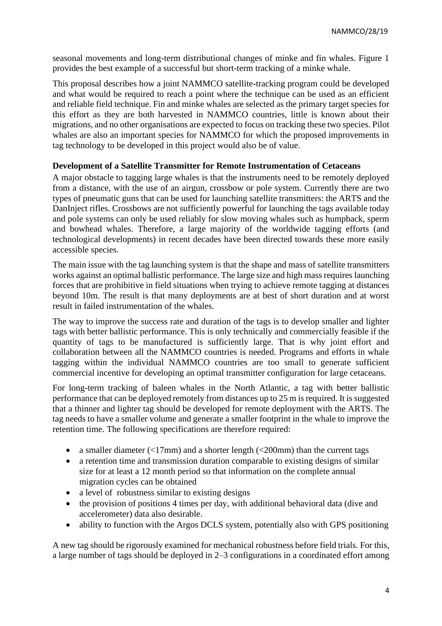seasonal movements and long-term distributional changes of minke and fin whales. Figure 1 provides the best example of a successful but short-term tracking of a minke whale.

This proposal describes how a joint NAMMCO satellite-tracking program could be developed and what would be required to reach a point where the technique can be used as an efficient and reliable field technique. Fin and minke whales are selected as the primary target species for this effort as they are both harvested in NAMMCO countries, little is known about their migrations, and no other organisations are expected to focus on tracking these two species. Pilot whales are also an important species for NAMMCO for which the proposed improvements in tag technology to be developed in this project would also be of value.

# **Development of a Satellite Transmitter for Remote Instrumentation of Cetaceans**

A major obstacle to tagging large whales is that the instruments need to be remotely deployed from a distance, with the use of an airgun, crossbow or pole system. Currently there are two types of pneumatic guns that can be used for launching satellite transmitters: the ARTS and the DanInject rifles. Crossbows are not sufficiently powerful for launching the tags available today and pole systems can only be used reliably for slow moving whales such as humpback, sperm and bowhead whales. Therefore, a large majority of the worldwide tagging efforts (and technological developments) in recent decades have been directed towards these more easily accessible species.

The main issue with the tag launching system is that the shape and mass of satellite transmitters works against an optimal ballistic performance. The large size and high mass requires launching forces that are prohibitive in field situations when trying to achieve remote tagging at distances beyond 10m. The result is that many deployments are at best of short duration and at worst result in failed instrumentation of the whales.

The way to improve the success rate and duration of the tags is to develop smaller and lighter tags with better ballistic performance. This is only technically and commercially feasible if the quantity of tags to be manufactured is sufficiently large. That is why joint effort and collaboration between all the NAMMCO countries is needed. Programs and efforts in whale tagging within the individual NAMMCO countries are too small to generate sufficient commercial incentive for developing an optimal transmitter configuration for large cetaceans.

For long-term tracking of baleen whales in the North Atlantic, a tag with better ballistic performance that can be deployed remotely from distances up to 25 m is required. It is suggested that a thinner and lighter tag should be developed for remote deployment with the ARTS. The tag needs to have a smaller volume and generate a smaller footprint in the whale to improve the retention time. The following specifications are therefore required:

- a smaller diameter  $\left( \langle 17 \rangle \text{mm} \right)$  and a shorter length  $\left( \langle 200 \rangle \text{mm} \right)$  than the current tags
- a retention time and transmission duration comparable to existing designs of similar size for at least a 12 month period so that information on the complete annual migration cycles can be obtained
- a level of robustness similar to existing designs
- the provision of positions 4 times per day, with additional behavioral data (dive and accelerometer) data also desirable.
- ability to function with the Argos DCLS system, potentially also with GPS positioning

A new tag should be rigorously examined for mechanical robustness before field trials. For this, a large number of tags should be deployed in 2–3 configurations in a coordinated effort among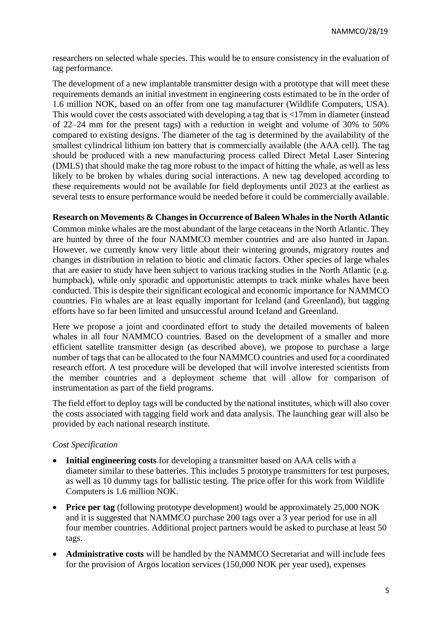researchers on selected whale species. This would be to ensure consistency in the evaluation of tag performance.

The development of a new implantable transmitter design with a prototype that will meet these requirements demands an initial investment in engineering costs estimated to be in the order of 1.6 million NOK, based on an offer from one tag manufacturer (Wildlife Computers, USA). This would cover the costs associated with developing a tag that is <17mm in diameter (instead of 22–24 mm for the present tags) with a reduction in weight and volume of 30% to 50% compared to existing designs. The diameter of the tag is determined by the availability of the smallest cylindrical lithium ion battery that is commercially available (the AAA cell). The tag should be produced with a new manufacturing process called Direct Metal Laser Sintering (DMLS) that should make the tag more robust to the impact of hitting the whale, as well as less likely to be broken by whales during social interactions. A new tag developed according to these requirements would not be available for field deployments until 2023 at the earliest as several tests to ensure performance would be needed before it could be commercially available.

# **Research on Movements & Changes in Occurrence of Baleen Whales in the North Atlantic**

Common minke whales are the most abundant of the large cetaceans in the North Atlantic. They are hunted by three of the four NAMMCO member countries and are also hunted in Japan. However, we currently know very little about their wintering grounds, migratory routes and changes in distribution in relation to biotic and climatic factors. Other species of large whales that are easier to study have been subject to various tracking studies in the North Atlantic (e.g. humpback), while only sporadic and opportunistic attempts to track minke whales have been conducted. This is despite their significant ecological and economic importance for NAMMCO countries. Fin whales are at least equally important for Iceland (and Greenland), but tagging efforts have so far been limited and unsuccessful around Iceland and Greenland.

Here we propose a joint and coordinated effort to study the detailed movements of baleen whales in all four NAMMCO countries. Based on the development of a smaller and more efficient satellite transmitter design (as described above), we propose to purchase a large number of tags that can be allocated to the four NAMMCO countries and used for a coordinated research effort. A test procedure will be developed that will involve interested scientists from the member countries and a deployment scheme that will allow for comparison of instrumentation as part of the field programs.

The field effort to deploy tags will be conducted by the national institutes, which will also cover the costs associated with tagging field work and data analysis. The launching gear will also be provided by each national research institute.

#### *Cost Specification*

- **Initial engineering costs** for developing a transmitter based on AAA cells with a diameter similar to these batteries. This includes 5 prototype transmitters for test purposes, as well as 10 dummy tags for ballistic testing. The price offer for this work from Wildlife Computers is 1.6 million NOK.
- **Price per tag** (following prototype development) would be approximately 25,000 NOK and it is suggested that NAMMCO purchase 200 tags over a 3 year period for use in all four member countries. Additional project partners would be asked to purchase at least 50 tags.
- **Administrative costs** will be handled by the NAMMCO Secretariat and will include fees for the provision of Argos location services (150,000 NOK per year used), expenses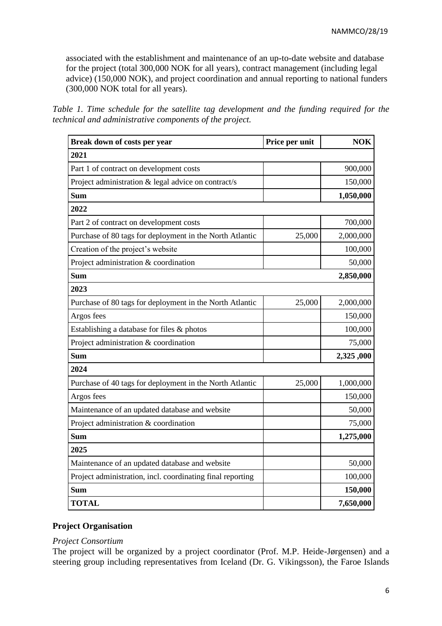associated with the establishment and maintenance of an up-to-date website and database for the project (total 300,000 NOK for all years), contract management (including legal advice) (150,000 NOK), and project coordination and annual reporting to national funders (300,000 NOK total for all years).

*Table 1. Time schedule for the satellite tag development and the funding required for the technical and administrative components of the project.*

| Break down of costs per year                               | Price per unit | <b>NOK</b> |  |  |  |  |
|------------------------------------------------------------|----------------|------------|--|--|--|--|
| 2021                                                       |                |            |  |  |  |  |
| Part 1 of contract on development costs                    |                | 900,000    |  |  |  |  |
| Project administration & legal advice on contract/s        |                | 150,000    |  |  |  |  |
| <b>Sum</b>                                                 |                | 1,050,000  |  |  |  |  |
| 2022                                                       |                |            |  |  |  |  |
| Part 2 of contract on development costs                    |                | 700,000    |  |  |  |  |
| Purchase of 80 tags for deployment in the North Atlantic   | 25,000         | 2,000,000  |  |  |  |  |
| Creation of the project's website                          |                | 100,000    |  |  |  |  |
| Project administration & coordination                      |                | 50,000     |  |  |  |  |
| <b>Sum</b>                                                 | 2,850,000      |            |  |  |  |  |
| 2023                                                       |                |            |  |  |  |  |
| Purchase of 80 tags for deployment in the North Atlantic   | 25,000         | 2,000,000  |  |  |  |  |
| Argos fees                                                 |                | 150,000    |  |  |  |  |
| Establishing a database for files & photos                 |                | 100,000    |  |  |  |  |
| Project administration & coordination                      |                | 75,000     |  |  |  |  |
| <b>Sum</b>                                                 |                | 2,325,000  |  |  |  |  |
| 2024                                                       |                |            |  |  |  |  |
| Purchase of 40 tags for deployment in the North Atlantic   | 25,000         | 1,000,000  |  |  |  |  |
| Argos fees                                                 |                | 150,000    |  |  |  |  |
| Maintenance of an updated database and website             |                | 50,000     |  |  |  |  |
| Project administration & coordination                      |                | 75,000     |  |  |  |  |
| <b>Sum</b>                                                 |                | 1,275,000  |  |  |  |  |
| 2025                                                       |                |            |  |  |  |  |
| Maintenance of an updated database and website             |                | 50,000     |  |  |  |  |
| Project administration, incl. coordinating final reporting |                | 100,000    |  |  |  |  |
| Sum                                                        |                | 150,000    |  |  |  |  |
| <b>TOTAL</b>                                               |                | 7,650,000  |  |  |  |  |

# **Project Organisation**

#### *Project Consortium*

The project will be organized by a project coordinator (Prof. M.P. Heide-Jørgensen) and a steering group including representatives from Iceland (Dr. G. Vikingsson), the Faroe Islands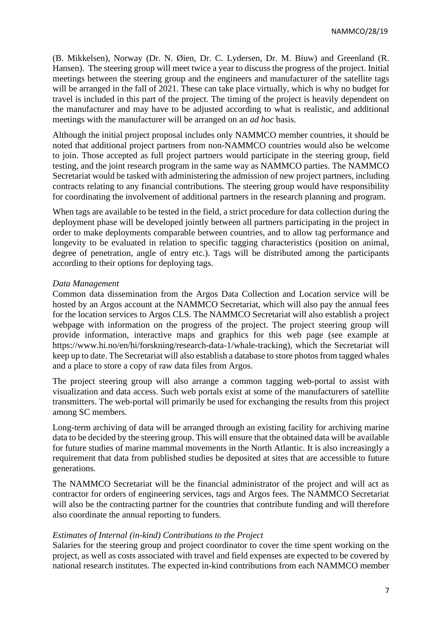(B. Mikkelsen), Norway (Dr. N. Øien, Dr. C. Lydersen, Dr. M. Biuw) and Greenland (R. Hansen). The steering group will meet twice a year to discuss the progress of the project. Initial meetings between the steering group and the engineers and manufacturer of the satellite tags will be arranged in the fall of 2021. These can take place virtually, which is why no budget for travel is included in this part of the project. The timing of the project is heavily dependent on the manufacturer and may have to be adjusted according to what is realistic, and additional meetings with the manufacturer will be arranged on an *ad hoc* basis.

Although the initial project proposal includes only NAMMCO member countries, it should be noted that additional project partners from non-NAMMCO countries would also be welcome to join. Those accepted as full project partners would participate in the steering group, field testing, and the joint research program in the same way as NAMMCO parties. The NAMMCO Secretariat would be tasked with administering the admission of new project partners, including contracts relating to any financial contributions. The steering group would have responsibility for coordinating the involvement of additional partners in the research planning and program.

When tags are available to be tested in the field, a strict procedure for data collection during the deployment phase will be developed jointly between all partners participating in the project in order to make deployments comparable between countries, and to allow tag performance and longevity to be evaluated in relation to specific tagging characteristics (position on animal, degree of penetration, angle of entry etc.). Tags will be distributed among the participants according to their options for deploying tags.

#### *Data Management*

Common data dissemination from the Argos Data Collection and Location service will be hosted by an Argos account at the NAMMCO Secretariat, which will also pay the annual fees for the location services to Argos CLS. The NAMMCO Secretariat will also establish a project webpage with information on the progress of the project. The project steering group will provide information, interactive maps and graphics for this web page (see example at https://www.hi.no/en/hi/forskning/research-data-1/whale-tracking), which the Secretariat will keep up to date. The Secretariat will also establish a database to store photos from tagged whales and a place to store a copy of raw data files from Argos.

The project steering group will also arrange a common tagging web-portal to assist with visualization and data access. Such web portals exist at some of the manufacturers of satellite transmitters. The web-portal will primarily be used for exchanging the results from this project among SC members.

Long-term archiving of data will be arranged through an existing facility for archiving marine data to be decided by the steering group. This will ensure that the obtained data will be available for future studies of marine mammal movements in the North Atlantic. It is also increasingly a requirement that data from published studies be deposited at sites that are accessible to future generations.

The NAMMCO Secretariat will be the financial administrator of the project and will act as contractor for orders of engineering services, tags and Argos fees. The NAMMCO Secretariat will also be the contracting partner for the countries that contribute funding and will therefore also coordinate the annual reporting to funders.

#### *Estimates of Internal (in-kind) Contributions to the Project*

Salaries for the steering group and project coordinator to cover the time spent working on the project, as well as costs associated with travel and field expenses are expected to be covered by national research institutes. The expected in-kind contributions from each NAMMCO member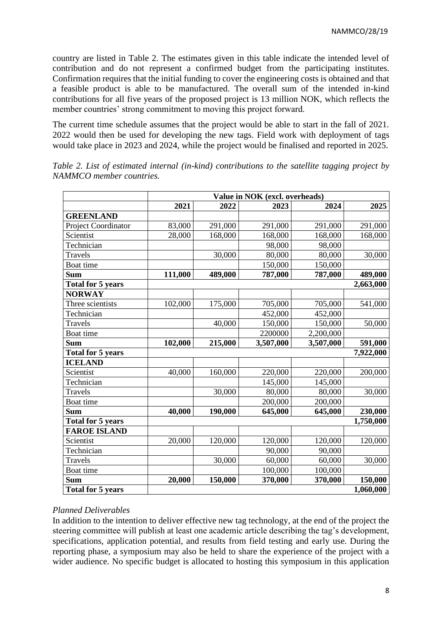country are listed in Table 2. The estimates given in this table indicate the intended level of contribution and do not represent a confirmed budget from the participating institutes. Confirmation requires that the initial funding to cover the engineering costs is obtained and that a feasible product is able to be manufactured. The overall sum of the intended in-kind contributions for all five years of the proposed project is 13 million NOK, which reflects the member countries' strong commitment to moving this project forward. <sup>-</sup>

The current time schedule assumes that the project would be able to start in the fall of 2021. 2022 would then be used for developing the new tags. Field work with deployment of tags would take place in 2023 and 2024, while the project would be finalised and reported in 2025.

|                          | Value in NOK (excl. overheads) |         |           |           |           |  |  |
|--------------------------|--------------------------------|---------|-----------|-----------|-----------|--|--|
|                          | 2021                           | 2022    | 2023      | 2024      | 2025      |  |  |
| <b>GREENLAND</b>         |                                |         |           |           |           |  |  |
| Project Coordinator      | 83,000                         | 291,000 | 291,000   | 291,000   | 291,000   |  |  |
| Scientist                | 28,000                         | 168,000 | 168,000   | 168,000   | 168,000   |  |  |
| Technician               |                                |         | 98,000    | 98,000    |           |  |  |
| Travels                  |                                | 30,000  | 80,000    | 80,000    | 30,000    |  |  |
| Boat time                |                                |         | 150,000   | 150,000   |           |  |  |
| <b>Sum</b>               | 111,000                        | 489,000 | 787,000   | 787,000   | 489,000   |  |  |
| <b>Total for 5 years</b> |                                |         |           |           | 2,663,000 |  |  |
| <b>NORWAY</b>            |                                |         |           |           |           |  |  |
| Three scientists         | 102,000                        | 175,000 | 705,000   | 705,000   | 541,000   |  |  |
| Technician               |                                |         | 452,000   | 452,000   |           |  |  |
| <b>Travels</b>           |                                | 40,000  | 150,000   | 150,000   | 50,000    |  |  |
| Boat time                |                                |         | 2200000   | 2,200,000 |           |  |  |
| <b>Sum</b>               | 102,000                        | 215,000 | 3,507,000 | 3,507,000 | 591,000   |  |  |
| <b>Total for 5 years</b> |                                |         |           |           | 7,922,000 |  |  |
| <b>ICELAND</b>           |                                |         |           |           |           |  |  |
| Scientist                | 40,000                         | 160,000 | 220,000   | 220,000   | 200,000   |  |  |
| Technician               |                                |         | 145,000   | 145,000   |           |  |  |
| Travels                  |                                | 30,000  | 80,000    | 80,000    | 30,000    |  |  |
| Boat time                |                                |         | 200,000   | 200,000   |           |  |  |
| <b>Sum</b>               | 40,000                         | 190,000 | 645,000   | 645,000   | 230,000   |  |  |
| <b>Total for 5 years</b> |                                |         |           |           | 1,750,000 |  |  |
| <b>FAROE ISLAND</b>      |                                |         |           |           |           |  |  |
| Scientist                | 20,000                         | 120,000 | 120,000   | 120,000   | 120,000   |  |  |
| Technician               |                                |         | 90,000    | 90,000    |           |  |  |
| <b>Travels</b>           |                                | 30,000  | 60,000    | 60,000    | 30,000    |  |  |
| Boat time                |                                |         | 100,000   | 100,000   |           |  |  |
| <b>Sum</b>               | 20,000                         | 150,000 | 370,000   | 370,000   | 150,000   |  |  |
| <b>Total for 5 years</b> |                                |         |           |           | 1,060,000 |  |  |

*Table 2. List of estimated internal (in-kind) contributions to the satellite tagging project by NAMMCO member countries.*

# *Planned Deliverables*

In addition to the intention to deliver effective new tag technology, at the end of the project the steering committee will publish at least one academic article describing the tag's development, specifications, application potential, and results from field testing and early use. During the reporting phase, a symposium may also be held to share the experience of the project with a wider audience. No specific budget is allocated to hosting this symposium in this application